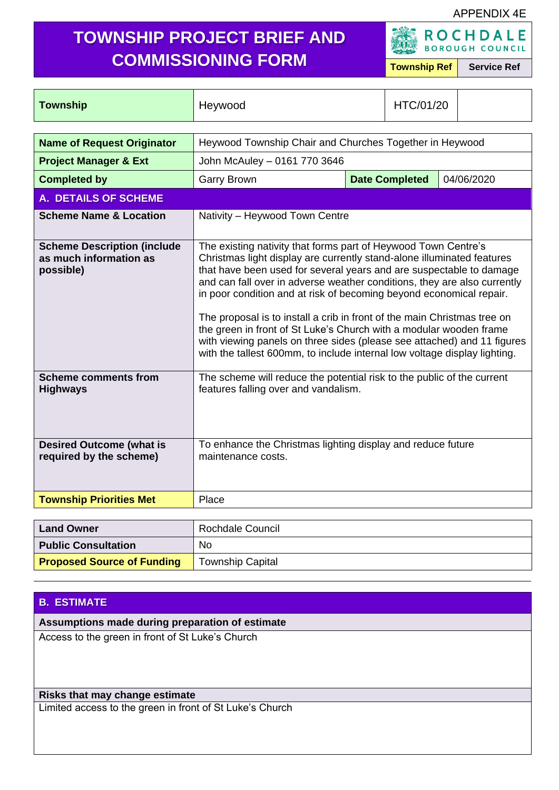#### APPENDIX 4E

# **TOWNSHIP PROJECT BRIEF AND COMMISSIONING FORM Township Ref Service Ref**

**ROCHDALE** 

| <b>Township</b>                                                           | HTC/01/20<br>Heywood                                                                                                                                                                                                                                                                                                                                                                                                                                                                                                                                                                                                                                                         |  |                       |            |
|---------------------------------------------------------------------------|------------------------------------------------------------------------------------------------------------------------------------------------------------------------------------------------------------------------------------------------------------------------------------------------------------------------------------------------------------------------------------------------------------------------------------------------------------------------------------------------------------------------------------------------------------------------------------------------------------------------------------------------------------------------------|--|-----------------------|------------|
|                                                                           |                                                                                                                                                                                                                                                                                                                                                                                                                                                                                                                                                                                                                                                                              |  |                       |            |
| <b>Name of Request Originator</b>                                         | Heywood Township Chair and Churches Together in Heywood                                                                                                                                                                                                                                                                                                                                                                                                                                                                                                                                                                                                                      |  |                       |            |
| <b>Project Manager &amp; Ext</b>                                          | John McAuley - 0161 770 3646                                                                                                                                                                                                                                                                                                                                                                                                                                                                                                                                                                                                                                                 |  |                       |            |
| <b>Completed by</b>                                                       | <b>Garry Brown</b>                                                                                                                                                                                                                                                                                                                                                                                                                                                                                                                                                                                                                                                           |  | <b>Date Completed</b> | 04/06/2020 |
| <b>A. DETAILS OF SCHEME</b>                                               |                                                                                                                                                                                                                                                                                                                                                                                                                                                                                                                                                                                                                                                                              |  |                       |            |
| <b>Scheme Name &amp; Location</b>                                         | Nativity - Heywood Town Centre                                                                                                                                                                                                                                                                                                                                                                                                                                                                                                                                                                                                                                               |  |                       |            |
| <b>Scheme Description (include</b><br>as much information as<br>possible) | The existing nativity that forms part of Heywood Town Centre's<br>Christmas light display are currently stand-alone illuminated features<br>that have been used for several years and are suspectable to damage<br>and can fall over in adverse weather conditions, they are also currently<br>in poor condition and at risk of becoming beyond economical repair.<br>The proposal is to install a crib in front of the main Christmas tree on<br>the green in front of St Luke's Church with a modular wooden frame<br>with viewing panels on three sides (please see attached) and 11 figures<br>with the tallest 600mm, to include internal low voltage display lighting. |  |                       |            |
| <b>Scheme comments from</b><br><b>Highways</b>                            | The scheme will reduce the potential risk to the public of the current<br>features falling over and vandalism.                                                                                                                                                                                                                                                                                                                                                                                                                                                                                                                                                               |  |                       |            |
| <b>Desired Outcome (what is</b><br>required by the scheme)                | To enhance the Christmas lighting display and reduce future<br>maintenance costs.                                                                                                                                                                                                                                                                                                                                                                                                                                                                                                                                                                                            |  |                       |            |
| <b>Township Priorities Met</b>                                            | Place                                                                                                                                                                                                                                                                                                                                                                                                                                                                                                                                                                                                                                                                        |  |                       |            |
| $\overline{\phantom{a}}$                                                  | $\mathbf{D}$ and the $\mathbf{D}$ and $\mathbf{D}$                                                                                                                                                                                                                                                                                                                                                                                                                                                                                                                                                                                                                           |  |                       |            |

| <b>Land Owner</b>                 | Rochdale Council        |
|-----------------------------------|-------------------------|
| <b>Public Consultation</b>        | No                      |
| <b>Proposed Source of Funding</b> | <b>Township Capital</b> |

## **B. ESTIMATE**

**Assumptions made during preparation of estimate**

Access to the green in front of St Luke's Church

## **Risks that may change estimate**

Limited access to the green in front of St Luke's Church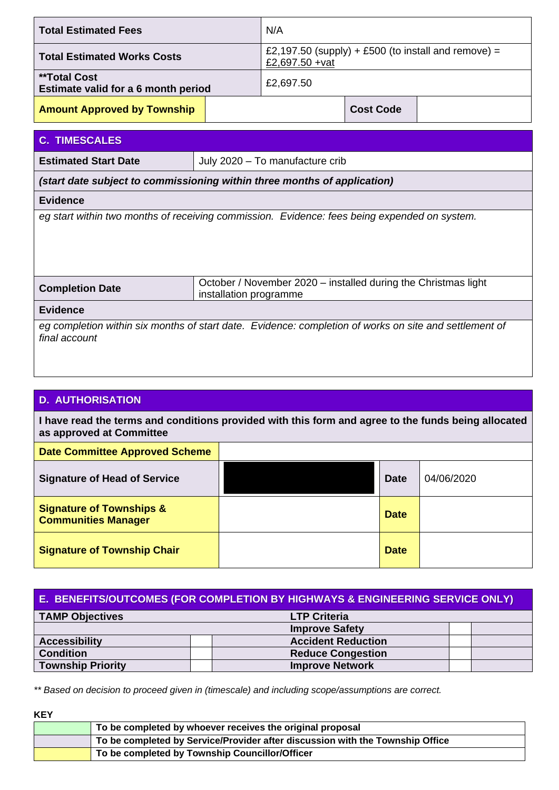| N/A<br><b>Total Estimated Fees</b>                         |  |                                                                        |                  |  |
|------------------------------------------------------------|--|------------------------------------------------------------------------|------------------|--|
| <b>Total Estimated Works Costs</b>                         |  | £2,197.50 (supply) + £500 (to install and remove) =<br>£2,697.50 + vat |                  |  |
| <b>**Total Cost</b><br>Estimate valid for a 6 month period |  | £2,697.50                                                              |                  |  |
| <b>Amount Approved by Township</b>                         |  |                                                                        | <b>Cost Code</b> |  |

## **C. TIMESCALES**

**Estimated Start Date July 2020 – To manufacture crib** 

*(start date subject to commissioning within three months of application)*

#### **Evidence**

*eg start within two months of receiving commission. Evidence: fees being expended on system.*

| <b>Completion Date</b> | October / November 2020 - installed during the Christmas light<br>installation programme |
|------------------------|------------------------------------------------------------------------------------------|
|                        |                                                                                          |

#### **Evidence**

*eg completion within six months of start date. Evidence: completion of works on site and settlement of final account*

### **D. AUTHORISATION**

**I have read the terms and conditions provided with this form and agree to the funds being allocated as approved at Committee**

| <b>Date Committee Approved Scheme</b>                             |             |            |
|-------------------------------------------------------------------|-------------|------------|
| <b>Signature of Head of Service</b>                               | <b>Date</b> | 04/06/2020 |
| <b>Signature of Townships &amp;</b><br><b>Communities Manager</b> | <b>Date</b> |            |
| <b>Signature of Township Chair</b>                                | <b>Date</b> |            |

#### **E. BENEFITS/OUTCOMES (FOR COMPLETION BY HIGHWAYS & ENGINEERING SERVICE ONLY)**

| <b>TAMP Objectives</b>   | <b>LTP Criteria</b>       |  |
|--------------------------|---------------------------|--|
|                          | <b>Improve Safety</b>     |  |
| <b>Accessibility</b>     | <b>Accident Reduction</b> |  |
| <b>Condition</b>         | <b>Reduce Congestion</b>  |  |
| <b>Township Priority</b> | <b>Improve Network</b>    |  |

*\*\* Based on decision to proceed given in (timescale) and including scope/assumptions are correct.*

|--|--|

| To be completed by whoever receives the original proposal                     |
|-------------------------------------------------------------------------------|
| To be completed by Service/Provider after discussion with the Township Office |
| To be completed by Township Councillor/Officer                                |